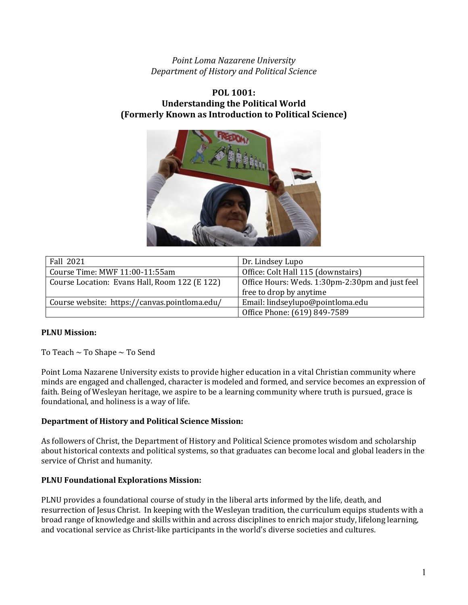*Point Loma Nazarene University Department of History and Political Science*

# **POL 1001: Understanding the Political World (Formerly Known as Introduction to Political Science)**



| Fall 2021                                     | Dr. Lindsey Lupo                                |
|-----------------------------------------------|-------------------------------------------------|
| Course Time: MWF 11:00-11:55am                | Office: Colt Hall 115 (downstairs)              |
| Course Location: Evans Hall, Room 122 (E 122) | Office Hours: Weds. 1:30pm-2:30pm and just feel |
|                                               | free to drop by anytime                         |
| Course website: https://canvas.pointloma.edu/ | Email: lindseylupo@pointloma.edu                |
|                                               | Office Phone: (619) 849-7589                    |

# **PLNU Mission:**

To Teach ~ To Shape ~ To Send

Point Loma Nazarene University exists to provide higher education in a vital Christian community where minds are engaged and challenged, character is modeled and formed, and service becomes an expression of faith. Being of Wesleyan heritage, we aspire to be a learning community where truth is pursued, grace is foundational, and holiness is a way of life.

### **Department of History and Political Science Mission:**

As followers of Christ, the Department of History and Political Science promotes wisdom and scholarship about historical contexts and political systems, so that graduates can become local and global leaders in the service of Christ and humanity.

### **PLNU Foundational Explorations Mission:**

PLNU provides a foundational course of study in the liberal arts informed by the life, death, and resurrection of Jesus Christ. In keeping with the Wesleyan tradition, the curriculum equips students with a broad range of knowledge and skills within and across disciplines to enrich major study, lifelong learning, and vocational service as Christ-like participants in the world's diverse societies and cultures.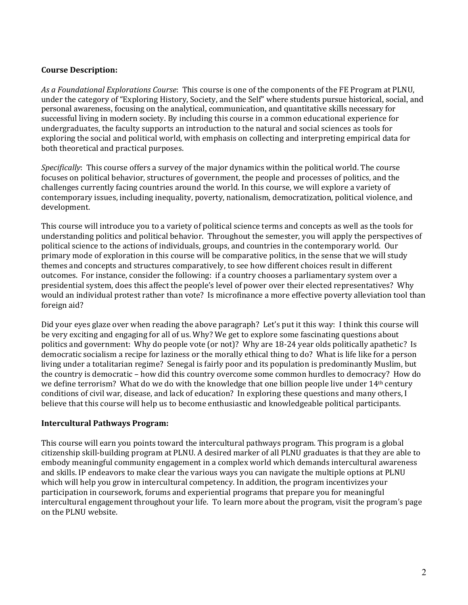### **Course Description:**

*As a Foundational Explorations Course*: This course is one of the components of the FE Program at PLNU, under the category of "Exploring History, Society, and the Self" where students pursue historical, social, and personal awareness, focusing on the analytical, communication, and quantitative skills necessary for successful living in modern society. By including this course in a common educational experience for undergraduates, the faculty supports an introduction to the natural and social sciences as tools for exploring the social and political world, with emphasis on collecting and interpreting empirical data for both theoretical and practical purposes.

*Specifically*: This course offers a survey of the major dynamics within the political world. The course focuses on political behavior, structures of government, the people and processes of politics, and the challenges currently facing countries around the world. In this course, we will explore a variety of contemporary issues, including inequality, poverty, nationalism, democratization, political violence, and development.

This course will introduce you to a variety of political science terms and concepts as well as the tools for understanding politics and political behavior. Throughout the semester, you will apply the perspectives of political science to the actions of individuals, groups, and countries in the contemporary world. Our primary mode of exploration in this course will be comparative politics, in the sense that we will study themes and concepts and structures comparatively, to see how different choices result in different outcomes. For instance, consider the following: if a country chooses a parliamentary system over a presidential system, does this affect the people's level of power over their elected representatives? Why would an individual protest rather than vote? Is microfinance a more effective poverty alleviation tool than foreign aid?

Did your eyes glaze over when reading the above paragraph? Let's put it this way: I think this course will be very exciting and engaging for all of us. Why? We get to explore some fascinating questions about politics and government: Why do people vote (or not)? Why are 18-24 year olds politically apathetic? Is democratic socialism a recipe for laziness or the morally ethical thing to do? What is life like for a person living under a totalitarian regime? Senegal is fairly poor and its population is predominantly Muslim, but the country is democratic – how did this country overcome some common hurdles to democracy? How do we define terrorism? What do we do with the knowledge that one billion people live under 14th century conditions of civil war, disease, and lack of education? In exploring these questions and many others, I believe that this course will help us to become enthusiastic and knowledgeable political participants.

### **Intercultural Pathways Program:**

This course will earn you points toward the intercultural pathways program. This program is a global citizenship skill-building program at PLNU. A desired marker of all PLNU graduates is that they are able to embody meaningful community engagement in a complex world which demands intercultural awareness and skills. IP endeavors to make clear the various ways you can navigate the multiple options at PLNU which will help you grow in intercultural competency. In addition, the program incentivizes your participation in coursework, forums and experiential programs that prepare you for meaningful intercultural engagement throughout your life. To learn more about the program, visit the program's page on the PLNU website.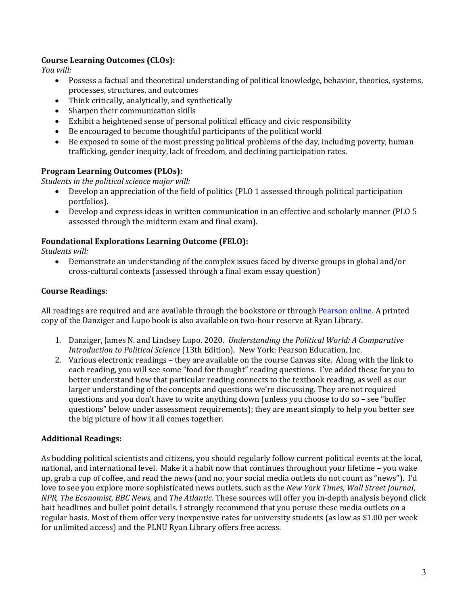# **Course Learning Outcomes (CLOs):**

*You will:* 

- Possess a factual and theoretical understanding of political knowledge, behavior, theories, systems, processes, structures, and outcomes
- Think critically, analytically, and synthetically
- Sharpen their communication skills
- Exhibit a heightened sense of personal political efficacy and civic responsibility
- Be encouraged to become thoughtful participants of the political world
- Be exposed to some of the most pressing political problems of the day, including poverty, human trafficking, gender inequity, lack of freedom, and declining participation rates.

# **Program Learning Outcomes (PLOs):**

*Students in the political science major will:* 

- Develop an appreciation of the field of politics (PLO 1 assessed through political participation portfolios).
- Develop and express ideas in written communication in an effective and scholarly manner (PLO 5 assessed through the midterm exam and final exam).

# **Foundational Explorations Learning Outcome (FELO):**

*Students will:* 

• Demonstrate an understanding of the complex issues faced by diverse groups in global and/or cross-cultural contexts (assessed through a final exam essay question)

# **Course Readings**:

All readings are required and are available through the bookstore or throug[h Pearson online.](https://www.pearson.com/us/) A printed copy of the Danziger and Lupo book is also available on two-hour reserve at Ryan Library.

- 1. Danziger, James N. and Lindsey Lupo. 2020. *Understanding the Political World: A Comparative Introduction to Political Science* (13th Edition). New York: Pearson Education, Inc.
- 2. Various electronic readings they are available on the course Canvas site. Along with the link to each reading, you will see some "food for thought" reading questions. I've added these for you to better understand how that particular reading connects to the textbook reading, as well as our larger understanding of the concepts and questions we're discussing. They are not required questions and you don't have to write anything down (unless you choose to do so – see "buffer questions" below under assessment requirements); they are meant simply to help you better see the big picture of how it all comes together.

# **Additional Readings:**

As budding political scientists and citizens, you should regularly follow current political events at the local, national, and international level. Make it a habit now that continues throughout your lifetime – you wake up, grab a cup of coffee, and read the news (and no, your social media outlets do not count as "news"). I'd love to see you explore more sophisticated news outlets, such as the *New York Times*, *Wall Street Journal*, *NPR, The Economist, BBC News*, and *The Atlantic*. These sources will offer you in-depth analysis beyond click bait headlines and bullet point details. I strongly recommend that you peruse these media outlets on a regular basis. Most of them offer very inexpensive rates for university students (as low as \$1.00 per week for unlimited access) and the PLNU Ryan Library offers free access.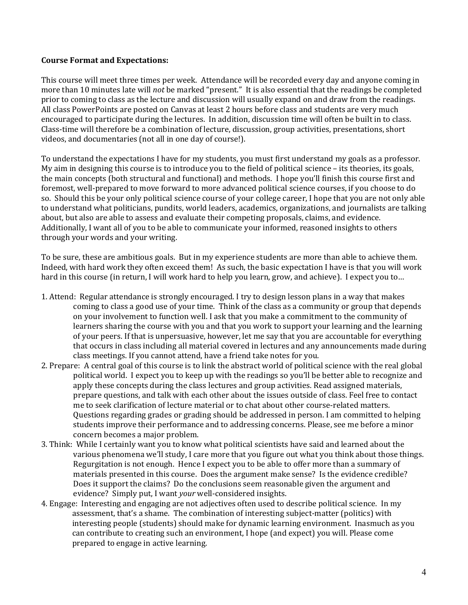#### **Course Format and Expectations:**

This course will meet three times per week. Attendance will be recorded every day and anyone coming in more than 10 minutes late will *not* be marked "present." It is also essential that the readings be completed prior to coming to class as the lecture and discussion will usually expand on and draw from the readings. All class PowerPoints are posted on Canvas at least 2 hours before class and students are very much encouraged to participate during the lectures. In addition, discussion time will often be built in to class. Class-time will therefore be a combination of lecture, discussion, group activities, presentations, short videos, and documentaries (not all in one day of course!).

To understand the expectations I have for my students, you must first understand my goals as a professor. My aim in designing this course is to introduce you to the field of political science – its theories, its goals, the main concepts (both structural and functional) and methods. I hope you'll finish this course first and foremost, well-prepared to move forward to more advanced political science courses, if you choose to do so. Should this be your only political science course of your college career, I hope that you are not only able to understand what politicians, pundits, world leaders, academics, organizations, and journalists are talking about, but also are able to assess and evaluate their competing proposals, claims, and evidence. Additionally, I want all of you to be able to communicate your informed, reasoned insights to others through your words and your writing.

To be sure, these are ambitious goals. But in my experience students are more than able to achieve them. Indeed, with hard work they often exceed them! As such, the basic expectation I have is that you will work hard in this course (in return, I will work hard to help you learn, grow, and achieve). I expect you to…

- 1. Attend: Regular attendance is strongly encouraged. I try to design lesson plans in a way that makes coming to class a good use of your time. Think of the class as a community or group that depends on your involvement to function well. I ask that you make a commitment to the community of learners sharing the course with you and that you work to support your learning and the learning of your peers. If that is unpersuasive, however, let me say that you are accountable for everything that occurs in class including all material covered in lectures and any announcements made during class meetings. If you cannot attend, have a friend take notes for you.
- 2. Prepare: A central goal of this course is to link the abstract world of political science with the real global political world. I expect you to keep up with the readings so you'll be better able to recognize and apply these concepts during the class lectures and group activities. Read assigned materials, prepare questions, and talk with each other about the issues outside of class. Feel free to contact me to seek clarification of lecture material or to chat about other course-related matters. Questions regarding grades or grading should be addressed in person. I am committed to helping students improve their performance and to addressing concerns. Please, see me before a minor concern becomes a major problem.
- 3. Think: While I certainly want you to know what political scientists have said and learned about the various phenomena we'll study, I care more that you figure out what you think about those things. Regurgitation is not enough. Hence I expect you to be able to offer more than a summary of materials presented in this course. Does the argument make sense? Is the evidence credible? Does it support the claims? Do the conclusions seem reasonable given the argument and evidence? Simply put, I want *your* well-considered insights.
- 4. Engage: Interesting and engaging are not adjectives often used to describe political science. In my assessment, that's a shame. The combination of interesting subject-matter (politics) with interesting people (students) should make for dynamic learning environment. Inasmuch as you can contribute to creating such an environment, I hope (and expect) you will. Please come prepared to engage in active learning.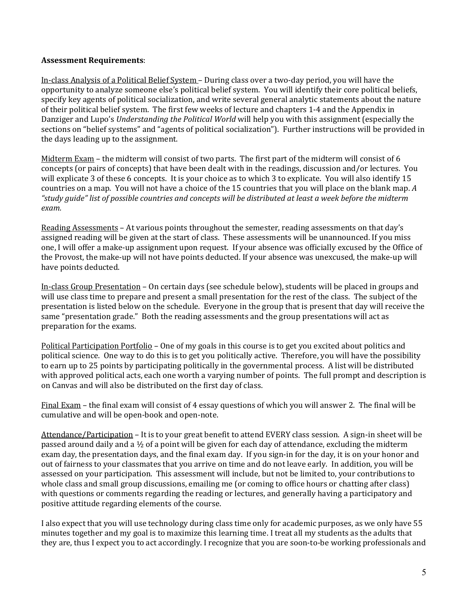### **Assessment Requirements**:

In-class Analysis of a Political Belief System – During class over a two-day period, you will have the opportunity to analyze someone else's political belief system. You will identify their core political beliefs, specify key agents of political socialization, and write several general analytic statements about the nature of their political belief system. The first few weeks of lecture and chapters 1-4 and the Appendix in Danziger and Lupo's *Understanding the Political World* will help you with this assignment (especially the sections on "belief systems" and "agents of political socialization"). Further instructions will be provided in the days leading up to the assignment.

Midterm Exam – the midterm will consist of two parts. The first part of the midterm will consist of 6 concepts (or pairs of concepts) that have been dealt with in the readings, discussion and/or lectures. You will explicate 3 of these 6 concepts. It is your choice as to which 3 to explicate. You will also identify 15 countries on a map. You will not have a choice of the 15 countries that you will place on the blank map. *A "study guide" list of possible countries and concepts will be distributed at least a week before the midterm exam.*

Reading Assessments – At various points throughout the semester, reading assessments on that day's assigned reading will be given at the start of class. These assessments will be unannounced. If you miss one, I will offer a make-up assignment upon request. If your absence was officially excused by the Office of the Provost, the make-up will not have points deducted. If your absence was unexcused, the make-up will have points deducted.

In-class Group Presentation – On certain days (see schedule below), students will be placed in groups and will use class time to prepare and present a small presentation for the rest of the class. The subject of the presentation is listed below on the schedule. Everyone in the group that is present that day will receive the same "presentation grade." Both the reading assessments and the group presentations will act as preparation for the exams.

Political Participation Portfolio – One of my goals in this course is to get you excited about politics and political science. One way to do this is to get you politically active. Therefore, you will have the possibility to earn up to 25 points by participating politically in the governmental process. A list will be distributed with approved political acts, each one worth a varying number of points. The full prompt and description is on Canvas and will also be distributed on the first day of class.

Final Exam – the final exam will consist of 4 essay questions of which you will answer 2. The final will be cumulative and will be open-book and open-note.

Attendance/Participation – It is to your great benefit to attend EVERY class session. A sign-in sheet will be passed around daily and a ½ of a point will be given for each day of attendance, excluding the midterm exam day, the presentation days, and the final exam day. If you sign-in for the day, it is on your honor and out of fairness to your classmates that you arrive on time and do not leave early. In addition, you will be assessed on your participation. This assessment will include, but not be limited to, your contributions to whole class and small group discussions, emailing me (or coming to office hours or chatting after class) with questions or comments regarding the reading or lectures, and generally having a participatory and positive attitude regarding elements of the course.

I also expect that you will use technology during class time only for academic purposes, as we only have 55 minutes together and my goal is to maximize this learning time. I treat all my students as the adults that they are, thus I expect you to act accordingly. I recognize that you are soon-to-be working professionals and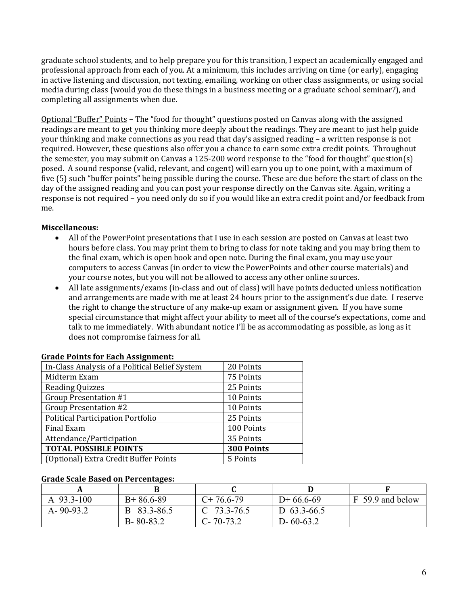graduate school students, and to help prepare you for this transition, I expect an academically engaged and professional approach from each of you. At a minimum, this includes arriving on time (or early), engaging in active listening and discussion, not texting, emailing, working on other class assignments, or using social media during class (would you do these things in a business meeting or a graduate school seminar?), and completing all assignments when due.

Optional "Buffer" Points – The "food for thought" questions posted on Canvas along with the assigned readings are meant to get you thinking more deeply about the readings. They are meant to just help guide your thinking and make connections as you read that day's assigned reading – a written response is not required. However, these questions also offer you a chance to earn some extra credit points. Throughout the semester, you may submit on Canvas a 125-200 word response to the "food for thought" question(s) posed. A sound response (valid, relevant, and cogent) will earn you up to one point, with a maximum of five (5) such "buffer points" being possible during the course. These are due before the start of class on the day of the assigned reading and you can post your response directly on the Canvas site. Again, writing a response is not required – you need only do so if you would like an extra credit point and/or feedback from me.

### **Miscellaneous:**

- All of the PowerPoint presentations that I use in each session are posted on Canvas at least two hours before class. You may print them to bring to class for note taking and you may bring them to the final exam, which is open book and open note. During the final exam, you may use your computers to access Canvas (in order to view the PowerPoints and other course materials) and your course notes, but you will not be allowed to access any other online sources.
- All late assignments/exams (in-class and out of class) will have points deducted unless notification and arrangements are made with me at least 24 hours prior to the assignment's due date. I reserve the right to change the structure of any make-up exam or assignment given. If you have some special circumstance that might affect your ability to meet all of the course's expectations, come and talk to me immediately. With abundant notice I'll be as accommodating as possible, as long as it does not compromise fairness for all.

| In-Class Analysis of a Political Belief System | 20 Points  |
|------------------------------------------------|------------|
| Midterm Exam                                   | 75 Points  |
| <b>Reading Quizzes</b>                         | 25 Points  |
| Group Presentation #1                          | 10 Points  |
| <b>Group Presentation #2</b>                   | 10 Points  |
| Political Participation Portfolio              | 25 Points  |
| Final Exam                                     | 100 Points |
| Attendance/Participation                       | 35 Points  |
| <b>TOTAL POSSIBLE POINTS</b>                   | 300 Points |
| (Optional) Extra Credit Buffer Points          | 5 Points   |
|                                                |            |

#### **Grade Points for Each Assignment:**

#### **Grade Scale Based on Percentages:**

| A 93.3-100      | $B+86.6-89$     | $C+76.6-79$     | $D+66.6-69$     | F 59.9 and below |
|-----------------|-----------------|-----------------|-----------------|------------------|
| $A - 90 - 93.2$ | B 83.3-86.5     | $C$ 73.3-76.5   | D $63.3 - 66.5$ |                  |
|                 | $B - 80 - 83.2$ | $C - 70 - 73.2$ | $D - 60 - 63.2$ |                  |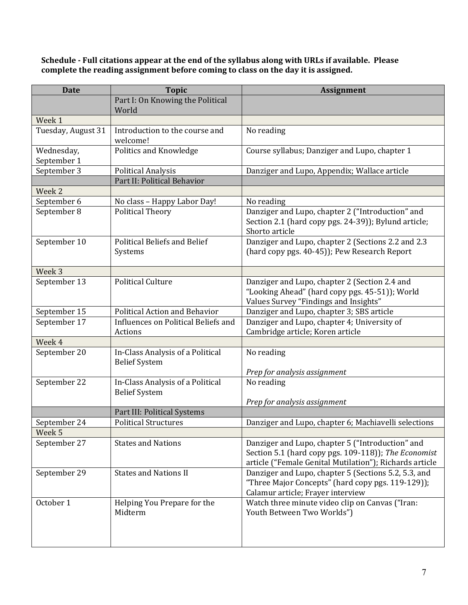**Schedule - Full citations appear at the end of the syllabus along with URLs if available. Please complete the reading assignment before coming to class on the day it is assigned.**

| <b>Date</b>               | <b>Topic</b>                                             | <b>Assignment</b>                                                                                                                                                   |
|---------------------------|----------------------------------------------------------|---------------------------------------------------------------------------------------------------------------------------------------------------------------------|
|                           | Part I: On Knowing the Political<br>World                |                                                                                                                                                                     |
| Week 1                    |                                                          |                                                                                                                                                                     |
| Tuesday, August 31        | Introduction to the course and<br>welcome!               | No reading                                                                                                                                                          |
| Wednesday,<br>September 1 | Politics and Knowledge                                   | Course syllabus; Danziger and Lupo, chapter 1                                                                                                                       |
| September 3               | <b>Political Analysis</b>                                | Danziger and Lupo, Appendix; Wallace article                                                                                                                        |
|                           | Part II: Political Behavior                              |                                                                                                                                                                     |
| Week 2                    |                                                          |                                                                                                                                                                     |
| September 6               | No class - Happy Labor Day!                              | No reading                                                                                                                                                          |
| September 8               | <b>Political Theory</b>                                  | Danziger and Lupo, chapter 2 ("Introduction" and<br>Section 2.1 (hard copy pgs. 24-39)); Bylund article;<br>Shorto article                                          |
| September 10              | <b>Political Beliefs and Belief</b><br>Systems           | Danziger and Lupo, chapter 2 (Sections 2.2 and 2.3<br>(hard copy pgs. 40-45)); Pew Research Report                                                                  |
| Week 3                    |                                                          |                                                                                                                                                                     |
| September 13              | <b>Political Culture</b>                                 | Danziger and Lupo, chapter 2 (Section 2.4 and<br>"Looking Ahead" (hard copy pgs. 45-51)); World<br>Values Survey "Findings and Insights"                            |
| September 15              | <b>Political Action and Behavior</b>                     | Danziger and Lupo, chapter 3; SBS article                                                                                                                           |
| September 17              | Influences on Political Beliefs and<br>Actions           | Danziger and Lupo, chapter 4; University of<br>Cambridge article; Koren article                                                                                     |
| Week 4                    |                                                          |                                                                                                                                                                     |
| September 20              | In-Class Analysis of a Political<br><b>Belief System</b> | No reading<br>Prep for analysis assignment                                                                                                                          |
| September 22              | In-Class Analysis of a Political<br><b>Belief System</b> | No reading                                                                                                                                                          |
|                           |                                                          | Prep for analysis assignment                                                                                                                                        |
| September 24              | Part III: Political Systems                              |                                                                                                                                                                     |
| Week <sub>5</sub>         | <b>Political Structures</b>                              | Danziger and Lupo, chapter 6; Machiavelli selections                                                                                                                |
| September 27              | <b>States and Nations</b>                                | Danziger and Lupo, chapter 5 ("Introduction" and<br>Section 5.1 (hard copy pgs. 109-118)); The Economist<br>article ("Female Genital Mutilation"); Richards article |
| September 29              | <b>States and Nations II</b>                             | Danziger and Lupo, chapter 5 (Sections 5.2, 5.3, and<br>"Three Major Concepts" (hard copy pgs. 119-129));<br>Calamur article; Frayer interview                      |
| October 1                 | Helping You Prepare for the<br>Midterm                   | Watch three minute video clip on Canvas ("Iran:<br>Youth Between Two Worlds")                                                                                       |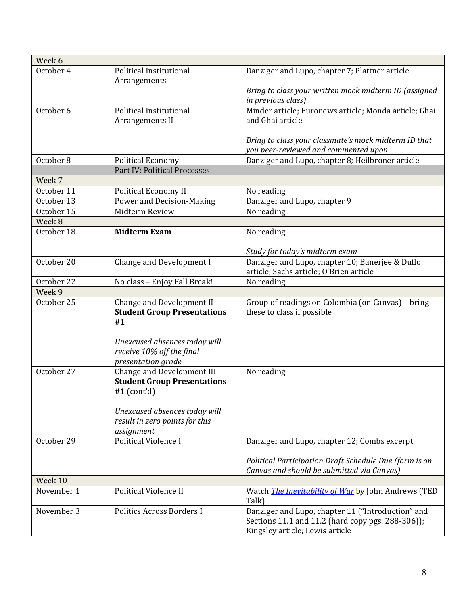| Week 6     |                                    |                                                            |
|------------|------------------------------------|------------------------------------------------------------|
| October 4  | Political Institutional            | Danziger and Lupo, chapter 7; Plattner article             |
|            | Arrangements                       |                                                            |
|            |                                    | Bring to class your written mock midterm ID (assigned      |
|            |                                    | in previous class)                                         |
| October 6  | Political Institutional            | Minder article; Euronews article; Monda article; Ghai      |
|            | Arrangements II                    | and Ghai article                                           |
|            |                                    |                                                            |
|            |                                    | Bring to class your classmate's mock midterm ID that       |
|            |                                    | you peer-reviewed and commented upon                       |
| October 8  | <b>Political Economy</b>           | Danziger and Lupo, chapter 8; Heilbroner article           |
|            | Part IV: Political Processes       |                                                            |
| Week 7     |                                    |                                                            |
| October 11 | Political Economy II               | No reading                                                 |
| October 13 | Power and Decision-Making          | Danziger and Lupo, chapter 9                               |
| October 15 | Midterm Review                     | No reading                                                 |
| Week 8     |                                    |                                                            |
| October 18 | <b>Midterm Exam</b>                | No reading                                                 |
|            |                                    | Study for today's midterm exam                             |
| October 20 | Change and Development I           | Danziger and Lupo, chapter 10; Banerjee & Duflo            |
|            |                                    | article; Sachs article; O'Brien article                    |
| October 22 | No class - Enjoy Fall Break!       | No reading                                                 |
| Week 9     |                                    |                                                            |
| October 25 | Change and Development II          | Group of readings on Colombia (on Canvas) - bring          |
|            | <b>Student Group Presentations</b> | these to class if possible                                 |
|            | #1                                 |                                                            |
|            |                                    |                                                            |
|            | Unexcused absences today will      |                                                            |
|            | receive 10% off the final          |                                                            |
|            | presentation grade                 |                                                            |
| October 27 | Change and Development III         | No reading                                                 |
|            | <b>Student Group Presentations</b> |                                                            |
|            | #1 $(cont'd)$                      |                                                            |
|            |                                    |                                                            |
|            | Unexcused absences today will      |                                                            |
|            | result in zero points for this     |                                                            |
| October 29 | assignment                         |                                                            |
|            | <b>Political Violence I</b>        | Danziger and Lupo, chapter 12; Combs excerpt               |
|            |                                    | Political Participation Draft Schedule Due (form is on     |
|            |                                    | Canvas and should be submitted via Canvas)                 |
| Week 10    |                                    |                                                            |
| November 1 | Political Violence II              | Watch <i>The Inevitability of War</i> by John Andrews (TED |
|            |                                    | Talk)                                                      |
| November 3 | Politics Across Borders I          | Danziger and Lupo, chapter 11 ("Introduction" and          |
|            |                                    | Sections 11.1 and 11.2 (hard copy pgs. 288-306));          |
|            |                                    | Kingsley article; Lewis article                            |
|            |                                    |                                                            |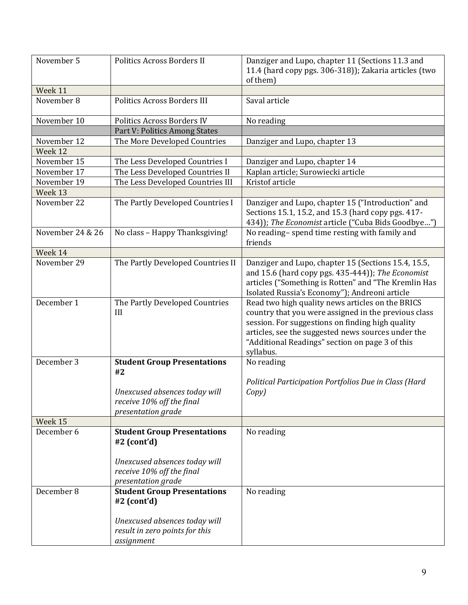| November 5       | Politics Across Borders II                                                                                                              | Danziger and Lupo, chapter 11 (Sections 11.3 and<br>11.4 (hard copy pgs. 306-318)); Zakaria articles (two<br>of them)                                                                                                                                                              |
|------------------|-----------------------------------------------------------------------------------------------------------------------------------------|------------------------------------------------------------------------------------------------------------------------------------------------------------------------------------------------------------------------------------------------------------------------------------|
| Week 11          |                                                                                                                                         |                                                                                                                                                                                                                                                                                    |
| November 8       | <b>Politics Across Borders III</b>                                                                                                      | Saval article                                                                                                                                                                                                                                                                      |
| November 10      | Politics Across Borders IV                                                                                                              | No reading                                                                                                                                                                                                                                                                         |
|                  | Part V: Politics Among States                                                                                                           |                                                                                                                                                                                                                                                                                    |
| November 12      | The More Developed Countries                                                                                                            | Danziger and Lupo, chapter 13                                                                                                                                                                                                                                                      |
| Week 12          |                                                                                                                                         |                                                                                                                                                                                                                                                                                    |
| November 15      | The Less Developed Countries I                                                                                                          | Danziger and Lupo, chapter 14                                                                                                                                                                                                                                                      |
| November 17      | The Less Developed Countries II                                                                                                         | Kaplan article; Surowiecki article                                                                                                                                                                                                                                                 |
| November 19      | The Less Developed Countries III                                                                                                        | Kristof article                                                                                                                                                                                                                                                                    |
| Week 13          |                                                                                                                                         |                                                                                                                                                                                                                                                                                    |
| November 22      | The Partly Developed Countries I                                                                                                        | Danziger and Lupo, chapter 15 ("Introduction" and<br>Sections 15.1, 15.2, and 15.3 (hard copy pgs. 417-<br>434)); The Economist article ("Cuba Bids Goodbye")                                                                                                                      |
| November 24 & 26 | No class - Happy Thanksgiving!                                                                                                          | No reading-spend time resting with family and<br>friends                                                                                                                                                                                                                           |
| Week 14          |                                                                                                                                         |                                                                                                                                                                                                                                                                                    |
| November 29      | The Partly Developed Countries II                                                                                                       | Danziger and Lupo, chapter 15 (Sections 15.4, 15.5,<br>and 15.6 (hard copy pgs. 435-444)); The Economist<br>articles ("Something is Rotten" and "The Kremlin Has<br>Isolated Russia's Economy"); Andreoni article                                                                  |
| December 1       | The Partly Developed Countries<br>III                                                                                                   | Read two high quality news articles on the BRICS<br>country that you were assigned in the previous class<br>session. For suggestions on finding high quality<br>articles, see the suggested news sources under the<br>"Additional Readings" section on page 3 of this<br>syllabus. |
| December 3       | <b>Student Group Presentations</b>                                                                                                      | No reading                                                                                                                                                                                                                                                                         |
|                  | #2<br>Unexcused absences today will<br>receive 10% off the final<br>presentation grade                                                  | Political Participation Portfolios Due in Class (Hard<br>Copy)                                                                                                                                                                                                                     |
| Week 15          |                                                                                                                                         |                                                                                                                                                                                                                                                                                    |
| December 6       | <b>Student Group Presentations</b><br>$#2$ (cont'd)<br>Unexcused absences today will<br>receive 10% off the final<br>presentation grade | No reading                                                                                                                                                                                                                                                                         |
| December 8       | <b>Student Group Presentations</b><br>$#2$ (cont'd)<br>Unexcused absences today will<br>result in zero points for this<br>assignment    | No reading                                                                                                                                                                                                                                                                         |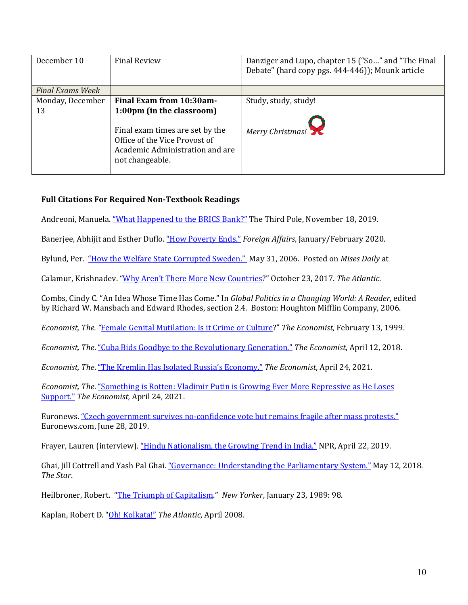| December 10             | <b>Final Review</b>                                                                                                                                 | Danziger and Lupo, chapter 15 ("So" and "The Final<br>Debate" (hard copy pgs. 444-446)); Mounk article |
|-------------------------|-----------------------------------------------------------------------------------------------------------------------------------------------------|--------------------------------------------------------------------------------------------------------|
| <b>Final Exams Week</b> |                                                                                                                                                     |                                                                                                        |
| Monday, December        | Final Exam from 10:30am-                                                                                                                            | Study, study, study!                                                                                   |
| 13                      | 1:00pm (in the classroom)<br>Final exam times are set by the<br>Office of the Vice Provost of<br>Academic Administration and are<br>not changeable. | Merry Christmas!                                                                                       |

# **Full Citations For Required Non-Textbook Readings**

Andreoni, Manuela[. "What Happened to the BRICS Bank?"](https://www.thethirdpole.net/en/regional-cooperation/new-development-bank/) The Third Pole, November 18, 2019.

Banerjee, Abhijit and Esther Duflo. ["How Poverty Ends."](https://www.foreignaffairs.com/articles/2019-12-03/how-poverty-ends) *Foreign Affairs*, January/February 2020.

Bylund, Per. ["How the Welfare State Corrupted Sweden."](http://mises.org/story/2190) May 31, 2006. Posted on *Mises Daily* at

Calamur, Krishnadev. ["Why Aren't There More New Countries?](https://www.theatlantic.com/international/archive/2017/10/sovereignty-independence-catalonia-kurdistan/543699/)" October 23, 2017. *The Atlantic*.

Combs, Cindy C. "An Idea Whose Time Has Come." In *Global Politics in a Changing World: A Reader*, edited by Richard W. Mansbach and Edward Rhodes, section 2.4. Boston: Houghton Mifflin Company, 2006.

*Economist, The. "*[Female Genital Mutilation: Is it Crime or Culture?](https://www.economist.com/international/1999/02/11/is-it-crime-or-culture)" *The Economist,* February 13, 1999.

*Economist, The*. ["Cuba Bids Goodbye to the Revolutionary Generation."](https://www.economist.com/the-americas/2018/04/12/cuba-bids-goodbye-to-the-revolutionary-generation) *The Economist*, April 12, 2018.

*Economist, The*. ["The Kremlin Has Isolated Russia's Economy."](https://www.economist.com/briefing/2021/04/24/the-kremlin-has-isolated-russias-economy) *The Economist*, April 24, 2021.

*Economist, The*. ["Something is Rotten: Vladimir Putin is Growing Ever More Repressive as He Loses](https://www.economist.com/briefing/2021/04/24/vladimir-putin-is-growing-ever-more-repressive-as-he-loses-support)  [Support."](https://www.economist.com/briefing/2021/04/24/vladimir-putin-is-growing-ever-more-repressive-as-he-loses-support) *The Economist,* April 24, 2021.

Euronews. ["Czech government survives no-confidence vote but remains fragile after mass protests."](https://www.euronews.com/2019/06/27/czech-government-survives-no-confidence-vote-but-remains-fragile-after-mass-protests) Euronews.com, June 28, 2019.

Frayer, Lauren (interview). ["Hindu Nationalism, the Growing Trend in India."](https://www.npr.org/2019/04/22/715875298/hindu-nationalism-the-growing-trend-in-india) NPR, April 22, 2019.

Ghai, Jill Cottrell and Yash Pal Ghai. ["Governance: Understanding the Parliamentary System."](https://www.the-star.co.ke/news/2018/05/12/governance-understanding-the-parliamentary-system_c1756843) May 12, 2018. *The Star*.

Heilbroner, Robert. ["The Triumph of Capitalism."](http://www.newyorker.com/archive/1989/01/23/1989_01_23_098_TNY_CARDS_000351619) *New Yorker*, January 23, 1989: 98.

Kaplan, Robert D. ["Oh! Kolkata!"](http://www.theatlantic.com/doc/200804/kolkata) *The Atlantic*, April 2008.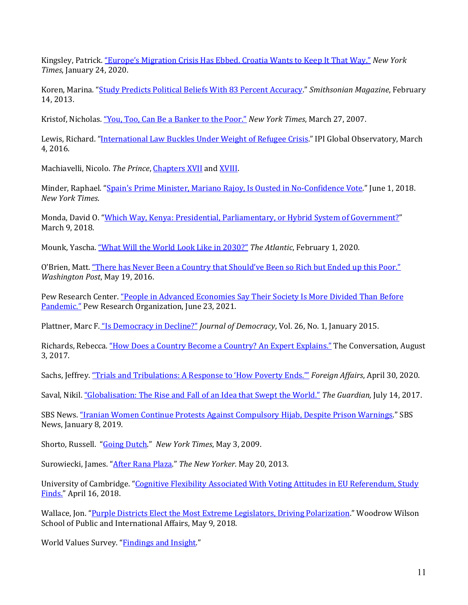Kingsley, Patrick. ["Europe's Migration Crisis Has Ebbed. Croatia Wants to Keep It That Way."](https://www.nytimes.com/2020/01/24/world/europe/bosnia-european-migrant-crises.html) *New York Times*, January 24, 2020.

Koren, Marina. ["Study Predicts Political Beliefs With 83 Percent Accuracy.](https://www.smithsonianmag.com/science-nature/study-predicts-political-beliefs-with-83-percent-accuracy-17536124/)" *Smithsonian Magazine*, February 14, 2013.

Kristof, Nicholas. ["You, Too, Can Be a Banker to the Poor."](https://www.nytimes.com/2007/03/27/opinion/27kristof.html) *New York Times*, March 27, 2007.

Lewis, Richard. ["International Law Buckles Under Weight of Refugee Crisis."](https://theglobalobservatory.org/2016/03/international-law-buckles-under-weight-of-refugee-crisis/) IPI Global Observatory, March 4, 2016.

Machiavelli, Nicolo. *The Prince*[, Chapters XVII](http://www.constitution.org/mac/prince17.htm) an[d XVIII.](http://www.constitution.org/mac/prince18.htm)

Minder, Raphael. ["Spain's Prime Minister, Mariano Rajoy, Is Ousted in No-Confidence Vote."](https://www.nytimes.com/2018/06/01/world/europe/spain-mariano-rajoy-no-confidence.html) June 1, 2018. *New York Times*.

Monda, David O. ["Which Way, Kenya: Presidential, Parliamentary, or Hybrid System of Government?"](https://politicalanimalmagazine.com/which-way-kenya-presidential-parliamentary-or-hybrid-system-of-government/) March 9, 2018.

Mounk, Yascha. ["What Will the World Look Like in 2030?"](https://www.theatlantic.com/ideas/archive/2020/02/predictions-2020s/605902/) *The Atlantic*, February 1, 2020.

O'Brien, Matt[. "There has Never Been a Country that Should've Been so Rich but Ended up this Poor."](https://www.washingtonpost.com/news/wonk/wp/2016/05/19/there-has-never-been-a-country-that-should-have-been-so-rich-but-ended-up-this-poor/) *Washington Post*, May 19, 2016.

Pew Research Center. "People in Advanced Economies Say Their Society Is More Divided Than Before Pandemic." Pew Research Organization, June 23, 2021.

Plattner, Marc F. ["Is Democracy in Decline?"](http://www.journalofdemocracy.org/) *Journal of Democracy*, Vol. 26, No. 1, January 2015.

Richards, Rebecca[. "How Does a Country Become a Country? An Expert Explains."](https://theconversation.com/how-does-a-country-become-a-country-an-expert-explains-81962) The Conversation, August 3, 2017.

Sachs, Jeffrey[. "Trials and Tribulations: A Response to 'How Poverty Ends.'"](https://www.jeffsachs.org/newspaper-articles/x5dt6z9tfsjk9lrzghmntenkas9ck4) *Foreign Affairs*, April 30, 2020.

Saval, Nikil. ["Globalisation: The Rise and Fall of an Idea that Swept the World."](https://www.theguardian.com/world/2017/jul/14/globalisation-the-rise-and-fall-of-an-idea-that-swept-the-world) *The Guardian,* July 14, 2017.

SBS News. ["Iranian Women Continue Protests Against Compulsory Hijab, Despite Prison Warnings."](https://www.sbs.com.au/news/iranian-women-continue-protests-against-compulsory-hijab-despite-prison-warnings) SBS News, January 8, 2019.

Shorto, Russell. ["Going Dutch."](http://www.nytimes.com/2009/05/03/magazine/03european-t.html) *New York Times*, May 3, 2009.

Surowiecki, James. ["After Rana Plaza."](http://www.newyorker.com/talk/financial/2013/05/20/130520ta_talk_surowiecki) *The New Yorker*. May 20, 2013.

University of Cambridge. ["Cognitive Flexibility Associated With Voting Attitudes in EU Referendum, Study](https://www.cam.ac.uk/research/news/cognitive-flexibility-associated-with-voting-attitudes-in-eu-referendum-study-finds)  [Finds."](https://www.cam.ac.uk/research/news/cognitive-flexibility-associated-with-voting-attitudes-in-eu-referendum-study-finds) April 16, 2018.

Wallace, Jon. ["Purple Districts Elect the Most Extreme Legislators, Driving Polarization.](https://www.princeton.edu/news/2018/05/09/purple-districts-elect-most-extreme-legislators-driving-polarization)" Woodrow Wilson School of Public and International Affairs, May 9, 2018.

World Values Survey. ["Findings and Insight."](http://www.worldvaluessurvey.org/WVSContents.jsp)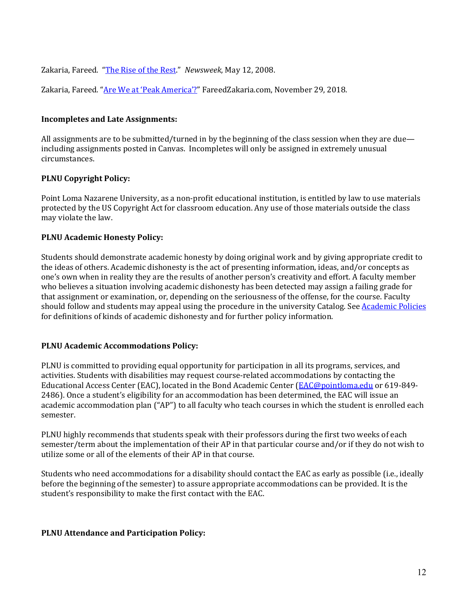Zakaria, Fareed. ["The Rise of the Rest."](http://www.newsweek.com/id/135380) *Newsweek*, May 12, 2008.

Zakaria, Fareed. ["Are We at 'Peak America'?"](https://fareedzakaria.com/columns/2018/11/29/are-we-at-peak-america) FareedZakaria.com, November 29, 2018.

### **Incompletes and Late Assignments:**

All assignments are to be submitted/turned in by the beginning of the class session when they are due including assignments posted in Canvas. Incompletes will only be assigned in extremely unusual circumstances.

### **PLNU Copyright Policy:**

Point Loma Nazarene University, as a non-profit educational institution, is entitled by law to use materials protected by the US Copyright Act for classroom education. Any use of those materials outside the class may violate the law.

### **PLNU Academic Honesty Policy:**

Students should demonstrate academic honesty by doing original work and by giving appropriate credit to the ideas of others. Academic dishonesty is the act of presenting information, ideas, and/or concepts as one's own when in reality they are the results of another person's creativity and effort. A faculty member who believes a situation involving academic dishonesty has been detected may assign a failing grade for that assignment or examination, or, depending on the seriousness of the offense, for the course. Faculty should follow and students may appeal using the procedure in the university Catalog. Se[e Academic Policies](https://catalog.pointloma.edu/content.php?catoid=41&navoid=2435#Academic_Honesty) for definitions of kinds of academic dishonesty and for further policy information.

#### **PLNU Academic Accommodations Policy:**

PLNU is committed to providing equal opportunity for participation in all its programs, services, and activities. Students with disabilities may request course-related accommodations by contacting the Educational Access Center (EAC), located in the Bond Academic Center [\(EAC@pointloma.edu](mailto:EAC@pointloma.edu) or 619-849-2486). Once a student's eligibility for an accommodation has been determined, the EAC will issue an academic accommodation plan ("AP") to all faculty who teach courses in which the student is enrolled each semester.

PLNU highly recommends that students speak with their professors during the first two weeks of each semester/term about the implementation of their AP in that particular course and/or if they do not wish to utilize some or all of the elements of their AP in that course.

Students who need accommodations for a disability should contact the EAC as early as possible (i.e., ideally before the beginning of the semester) to assure appropriate accommodations can be provided. It is the student's responsibility to make the first contact with the EAC.

#### **PLNU Attendance and Participation Policy:**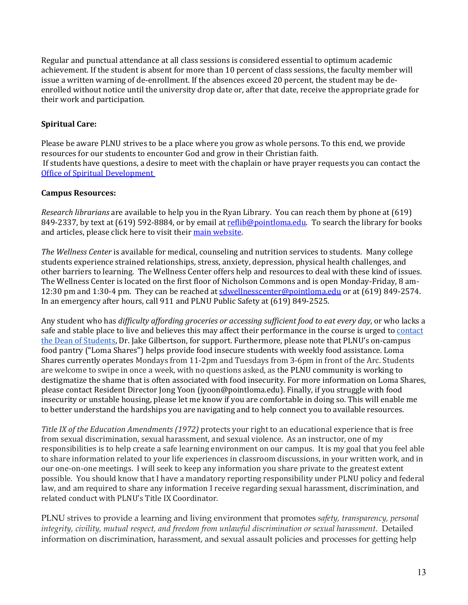Regular and punctual attendance at all class sessions is considered essential to optimum academic achievement. If the student is absent for more than 10 percent of class sessions, the faculty member will issue a written warning of de-enrollment. If the absences exceed 20 percent, the student may be deenrolled without notice until the university drop date or, after that date, receive the appropriate grade for their work and participation.

# **Spiritual Care:**

Please be aware PLNU strives to be a place where you grow as whole persons. To this end, we provide resources for our students to encounter God and grow in their Christian faith. If students have questions, a desire to meet with the chaplain or have prayer requests you can contact the [Office of Spiritual Development](https://www.pointloma.edu/offices/spiritual-development)

### **Campus Resources:**

*Research librarians* are available to help you in the Ryan Library. You can reach them by phone at (619) 849-2337, by text at (619) 592-8884, or by email a[t reflib@pointloma.edu.](mailto:reflib@pointloma.edu) To search the library for books and articles, please click here to visit their [main website.](https://libguides.pointloma.edu/ryanlibrary)

*The Wellness Center* is available for medical, counseling and nutrition services to students. Many college students experience strained relationships, stress, anxiety, depression, physical health challenges, and other barriers to learning. The Wellness Center offers help and resources to deal with these kind of issues. The Wellness Center is located on the first floor of Nicholson Commons and is open Monday-Friday, 8 am12:30 pm and 1:30-4 pm. They can be reached at [sdwellnesscenter@pointloma.edu](mailto:sdwellnesscenter@pointloma.edu) or at (619) 849-2574. In an emergency after hours, call 911 and PLNU Public Safety at (619) 849-2525.

Any student who has *difficulty affording groceries or accessing sufficient food to eat every day*, or who lacks a safe and stable place to live and believes this may affect their performance in the course is urged t[o contact](https://www.pointloma.edu/offices/residential-life-housing/contact-us)  [the Dean of Students,](https://www.pointloma.edu/offices/residential-life-housing/contact-us) Dr. Jake Gilbertson, for support. Furthermore, please note that PLNU's on-campus food pantry ("Loma Shares") helps provide food insecure students with weekly food assistance. Loma Shares currently operates Mondays from 11-2pm and Tuesdays from 3-6pm in front of the Arc. Students are welcome to swipe in once a week, with no questions asked, as the PLNU community is working to destigmatize the shame that is often associated with food insecurity. For more information on Loma Shares, please contact Resident Director Jong Yoon (jyoon@pointloma.edu). Finally, if you struggle with food insecurity or unstable housing, please let me know if you are comfortable in doing so. This will enable me to better understand the hardships you are navigating and to help connect you to available resources.

*Title IX of the Education Amendments (1972)* protects your right to an educational experience that is free from sexual discrimination, sexual harassment, and sexual violence.As an instructor, one of my responsibilities is to help create a safe learning environment on our campus. It is my goal that you feel able to share information related to your life experiences in classroom discussions, in your written work, and in our one-on-one meetings. I will seek to keep any information you share private to the greatest extent possible. You should know that I have a mandatory reporting responsibility under PLNU policy and federal law, and am required to share any information I receive regarding sexual harassment, discrimination, and related conduct with PLNU's Title IX Coordinator.

PLNU strives to provide a learning and living environment that promotes *safety, transparency, personal integrity, civility, mutual respect, and freedom from unlawful discrimination or sexual harassment*. Detailed information on discrimination, harassment, and sexual assault policies and processes for getting help